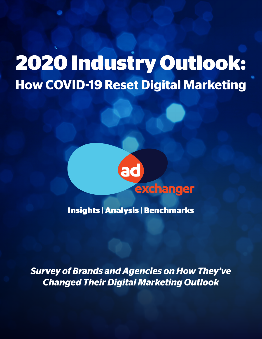# **2020 Industry Outlook: How COVID-19 Reset Digital Marketing**



**Insights** | **Analysis** | **Benchmarks**

*Survey of Brands and Agencies on How They've Changed Their Digital Marketing Outlook*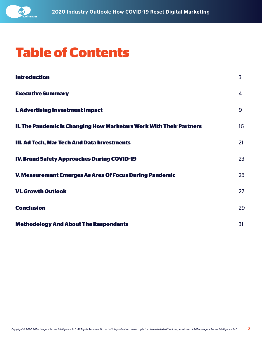

### **Table of Contents**

| <b>Introduction</b>                                                 | 3                       |
|---------------------------------------------------------------------|-------------------------|
| <b>Executive Summary</b>                                            | $\overline{\mathbf{4}}$ |
| <b>I. Advertising Investment Impact</b>                             | 9                       |
| II. The Pandemic Is Changing How Marketers Work With Their Partners | 16                      |
| III. Ad Tech, Mar Tech And Data Investments                         | 21                      |
| <b>IV. Brand Safety Approaches During COVID-19</b>                  | 23                      |
| V. Measurement Emerges As Area Of Focus During Pandemic             | 25                      |
| <b>VI. Growth Outlook</b>                                           | 27                      |
| <b>Conclusion</b>                                                   | 29                      |
| <b>Methodology And About The Respondents</b>                        | 31                      |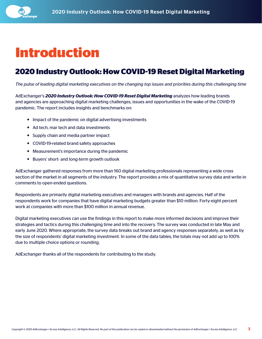<span id="page-2-0"></span>

### **Introduction**

### **2020 Industry Outlook: How COVID-19 Reset Digital Marketing**

*The pulse of leading digital marketing executives on the changing top issues and priorities during this challenging time*

AdExchanger's *2020 Industry Outlook: How COVID-19 Reset Digital Marketing* analyzes how leading brands and agencies are approaching digital marketing challenges, issues and opportunities in the wake of the COVID-19 pandemic. The report includes insights and benchmarks on:

- Impact of the pandemic on digital advertising investments
- Ad tech, mar tech and data investments
- Supply chain and media partner impact
- COVID-19-related brand safety approaches
- Measurement's importance during the pandemic
- Buyers' short- and long-term growth outlook

AdExchanger gathered responses from more than 160 digital marketing professionals representing a wide cross section of the market in all segments of the industry. The report provides a mix of quantitative survey data and write-in comments to open-ended questions.

Respondents are primarily digital marketing executives and managers with brands and agencies. Half of the respondents work for companies that have digital marketing budgets greater than \$10 million. Forty-eight percent work at companies with more than \$100 million in annual revenue.

Digital marketing executives can use the findings in this report to make more informed decisions and improve their strategies and tactics during this challenging time and into the recovery. The survey was conducted in late May and early June 2020. Where appropriate, the survey data breaks out brand and agency responses separately, as well as by the size of respondents' digital marketing investment. In some of the data tables, the totals may not add up to 100% due to multiple choice options or rounding.

AdExchanger thanks all of the respondents for contributing to the study.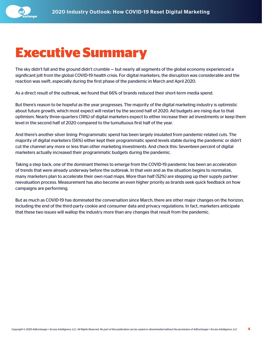<span id="page-3-0"></span>

### **Executive Summary**

The sky didn't fall and the ground didn't crumble — but nearly all segments of the global economy experienced a significant jolt from the global COVID-19 health crisis. For digital marketers, the disruption was considerable and the reaction was swift, especially during the first phase of the pandemic in March and April 2020.

As a direct result of the outbreak, we found that 66% of brands reduced their short-term media spend.

But there's reason to be hopeful as the year progresses. The majority of the digital marketing industry is optimistic about future growth, which most expect will restart by the second half of 2020. Ad budgets are rising due to that optimism. Nearly three-quarters (74%) of digital marketers expect to either increase their ad investments or keep them level in the second half of 2020 compared to the tumultuous first half of the year.

And there's another silver lining: Programmatic spend has been largely insulated from pandemic-related cuts. The majority of digital marketers (56%) either kept their programmatic spend levels stable during the pandemic or didn't cut the channel any more or less than other marketing investments. And check this: Seventeen percent of digital marketers actually increased their programmatic budgets during the pandemic.

Taking a step back, one of the dominant themes to emerge from the COVID-19 pandemic has been an acceleration of trends that were already underway before the outbreak. In that vein and as the situation begins to normalize, many marketers plan to accelerate their own road maps. More than half (52%) are stepping up their supply partner reevaluation process. Measurement has also become an even higher priority as brands seek quick feedback on how campaigns are performing.

But as much as COVID-19 has dominated the conversation since March, there are other major changes on the horizon, including the end of the third-party cookie and consumer data and privacy regulations. In fact, marketers anticipate that these two issues will wallop the industry more than any changes that result from the pandemic.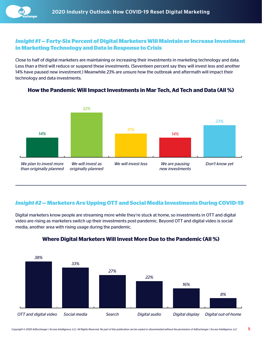#### *Insight #1* **— Forty-Six Percent of Digital Marketers Will Maintain or Increase Investment in Marketing Technology and Data in Response to Crisis**

Close to half of digital marketers are maintaining or increasing their investments in marketing technology and data. Less than a third will reduce or suspend these investments. (Seventeen percent say they will invest less and another 14% have paused new investment.) Meanwhile 23% are unsure how the outbreak and aftermath will impact their technology and data investments.



**How the Pandemic Will Impact Investments in Mar Tech, Ad Tech and Data (All %)**

#### *Insight #2* **— Marketers Are Upping OTT and Social Media Investments During COVID-19**

Digital marketers know people are streaming more while they're stuck at home, so investments in OTT and digital video are rising as marketers switch up their investments post-pandemic. Beyond OTT and digital video is social media, another area with rising usage during the pandemic.



#### **Where Digital Marketers Will Invest More Due to the Pandemic (All %)**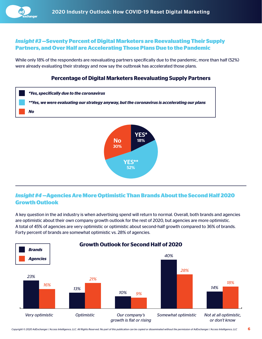

#### *Insight #3* **—Seventy Percent of Digital Marketers are Reevaluating Their Supply Partners, and Over Half are Accelerating Those Plans Due to the Pandemic**

While only 18% of the respondents are reevaluating partners specifically due to the pandemic, more than half (52%) were already evaluating their strategy and now say the outbreak has accelerated those plans.

#### **Percentage of Digital Marketers Reevaluating Supply Partners**



#### *Insight #4* **—Agencies Are More Optimistic Than Brands About the Second Half 2020 Growth Outlook**

A key question in the ad industry is when advertising spend will return to normal. Overall, both brands and agencies are optimistic about their own company growth outlook for the rest of 2020, but agencies are more optimistic. A total of 45% of agencies are very optimistic or optimistic about second-half growth compared to 36% of brands. Forty percent of brands are somewhat optimistic vs. 28% of agencies.

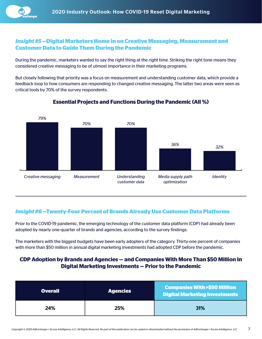

#### *Insight #5* **—Digital Marketers Home in on Creative Messaging, Measurement and Customer Data to Guide Them During the Pandemic**

During the pandemic, marketers wanted to say the right thing at the right time. Striking the right tone means they considered creative messaging to be of utmost importance in their marketing programs.

But closely following that priority was a focus on measurement and understanding customer data, which provide a feedback loop to how consumers are responding to changed creative messaging. The latter two areas were seen as critical tools by 70% of the survey respondents.



#### **Essential Projects and Functions During the Pandemic (All %)**

#### *Insight #6* **—Twenty-Four Percent of Brands Already Use Customer Data Platforms**

Prior to the COVID-19 pandemic, the emerging technology of the customer data platform (CDP) had already been adopted by nearly one-quarter of brands and agencies, according to the survey findings.

The marketers with the biggest budgets have been early adopters of the category. Thirty-one percent of companies with more than \$50 million in annual digital marketing investments had adopted CDP before the pandemic.

#### **CDP Adoption by Brands and Agencies — and Companies With More Than \$50 Million In Digital Marketing Investments — Prior to the Pandemic**

| <b>Overall</b> | <b>Agencies</b> | <b>Companies With &gt;\$50 Million</b><br><b>Digital Marketing Investments</b> |
|----------------|-----------------|--------------------------------------------------------------------------------|
| 24%            | 25%             | 31%                                                                            |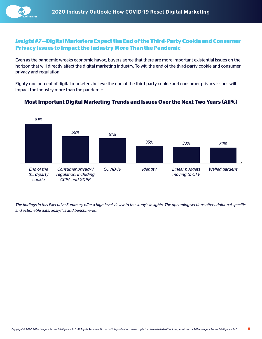

#### *Insight #7* **—Digital Marketers Expect the End of the Third-Party Cookie and Consumer Privacy Issues to Impact the Industry More Than the Pandemic**

Even as the pandemic wreaks economic havoc, buyers agree that there are more important existential issues on the horizon that will directly affect the digital marketing industry. To wit: the end of the third-party cookie and consumer privacy and regulation.

Eighty-one percent of digital marketers believe the end of the third-party cookie and consumer privacy issues will impact the industry more than the pandemic.



#### **Most Important Digital Marketing Trends and Issues Over the Next Two Years (All%)**

*The findings in this Executive Summary offer a high-level view into the study's insights. The upcoming sections offer additional specific and actionable data, analytics and benchmarks.*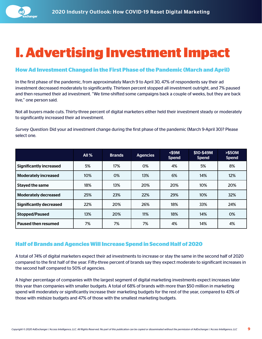<span id="page-8-0"></span>

## **I. Advertising Investment Impact**

#### **How Ad Investment Changed in the First Phase of the Pandemic (March and April)**

In the first phase of the pandemic, from approximately March 9 to April 30, 47% of respondents say their ad investment decreased moderately to significantly. Thirteen percent stopped all investment outright, and 7% paused and then resumed their ad investment. "We time-shifted some campaigns back a couple of weeks, but they are back live," one person said.

Not all buyers made cuts. Thirty-three percent of digital marketers either held their investment steady or moderately to significantly increased their ad investment.

*Survey Question:* Did your ad investment change during the first phase of the pandemic (March 9-April 30)? Please select one.

|                                | <b>All %</b> | <b>Brands</b> | <b>Agencies</b> | $<$ \$9M<br><b>Spend</b> | \$10-\$49M<br><b>Spend</b> | <b>&gt;\$50M</b><br><b>Spend</b> |
|--------------------------------|--------------|---------------|-----------------|--------------------------|----------------------------|----------------------------------|
| <b>Significantly increased</b> | 5%           | 17%           | 0%              | 4%                       | 5%                         | 8%                               |
| <b>Moderately increased</b>    | 10%          | 0%            | 13%             | 6%                       | 14%                        | 12%                              |
| <b>Stayed the same</b>         | 18%          | 13%           | 20%             | 20%                      | 10%                        | 20%                              |
| <b>Moderately decreased</b>    | 25%          | 23%           | 22%             | 29%                      | 10%                        | 32%                              |
| <b>Significantly decreased</b> | 22%          | 20%           | 26%             | 18%                      | 33%                        | 24%                              |
| <b>Stopped/Paused</b>          | 13%          | 20%           | 11%             | 18%                      | 14%                        | 0%                               |
| Paused then resumed            | 7%           | 7%            | 7%              | 4%                       | 14%                        | 4%                               |

#### **Half of Brands and Agencies Will Increase Spend in Second Half of 2020**

A total of 74% of digital marketers expect their ad investments to increase or stay the same in the second half of 2020 compared to the first half of the year. Fifty-three percent of brands say they expect moderate to significant increases in the second half compared to 50% of agencies.

A higher percentage of companies with the largest segment of digital marketing investments expect increases later this year than companies with smaller budgets. A total of 68% of brands with more than \$50 million in marketing spend will moderately or significantly increase their marketing budgets for the rest of the year, compared to 43% of those with midsize budgets and 47% of those with the smallest marketing budgets.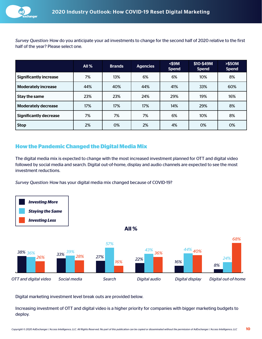

*Survey Question:* How do you anticipate your ad investments to change for the second half of 2020 relative to the first half of the year? Please select one.

|                               | All $%$ | <b>Brands</b> | <b>Agencies</b> | $<$ \$9M<br><b>Spend</b> | \$10-\$49M<br><b>Spend</b> | <b>&gt;\$50M</b><br><b>Spend</b> |
|-------------------------------|---------|---------------|-----------------|--------------------------|----------------------------|----------------------------------|
| <b>Significantly increase</b> | 7%      | 13%           | 6%              | 6%                       | 10%                        | 8%                               |
| <b>Moderately increase</b>    | 44%     | 40%           | 44%             | 41%                      | 33%                        | 60%                              |
| Stay the same                 | 23%     | 23%           | 24%             | 29%                      | 19%                        | 16%                              |
| <b>Moderately decrease</b>    | 17%     | 17%           | 17%             | 14%                      | 29%                        | 8%                               |
| <b>Significantly decrease</b> | 7%      | 7%            | 7%              | 6%                       | 10%                        | 8%                               |
| <b>Stop</b>                   | 2%      | 0%            | 2%              | 4%                       | 0%                         | 0%                               |

#### **How the Pandemic Changed the Digital Media Mix**

The digital media mix is expected to change with the most increased investment planned for OTT and digital video followed by social media and search. Digital out-of-home, display and audio channels are expected to see the most investment reductions.

*Survey Question:* How has your digital media mix changed because of COVID-19?



Digital marketing investment level break outs are provided below.

Increasing investment of OTT and digital video is a higher priority for companies with bigger marketing budgets to deploy.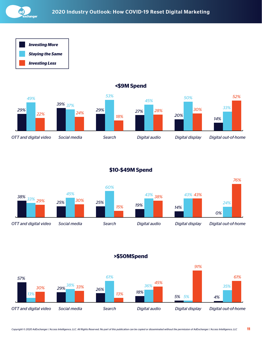

*Investing More Staying the Same Investing Less*



#### **<\$9M Spend**

#### **\$10-\$49M Spend**



**>\$50MSpend**

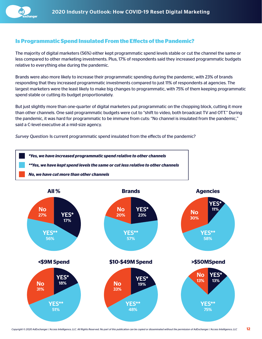#### **Is Programmatic Spend Insulated From the Effects of the Pandemic?**

The majority of digital marketers (56%) either kept programmatic spend levels stable or cut the channel the same or less compared to other marketing investments. Plus, 17% of respondents said they increased programmatic budgets relative to everything else during the pandemic.

Brands were also more likely to increase their programmatic spending during the pandemic, with 23% of brands responding that they increased programmatic investments compared to just 11% of respondents at agencies. The largest marketers were the least likely to make big changes to programmatic, with 75% of them keeping programmatic spend stable or cutting its budget proportionately.

But just slightly more than one-quarter of digital marketers put programmatic on the chopping block, cutting it more than other channels. One said programmatic budgets were cut to "shift to video, both broadcast TV and OTT." During the pandemic, it was hard for programmatic to be immune from cuts: "No channel is insulated from the pandemic," said a C-level executive at a mid-size agency.

*Survey Question:* Is current programmatic spend insulated from the effects of the pandemic?

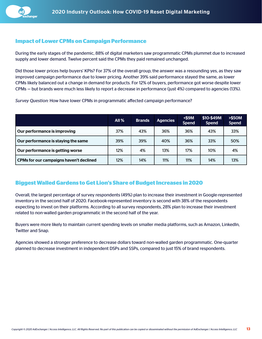#### **Impact of Lower CPMs on Campaign Performance**

During the early stages of the pandemic, 88% of digital marketers saw programmatic CPMs plummet due to increased supply and lower demand. Twelve percent said the CPMs they paid remained unchanged.

Did those lower prices help buyers' KPIs? For 37% of the overall group, the answer was a resounding yes, as they saw improved campaign performance due to lower pricing. Another 39% said performance stayed the same, as lower CPMs likely balanced out a change in demand for products. For 12% of buyers, performance got worse despite lower CPMs — but brands were much less likely to report a decrease in performance (just 4%) compared to agencies (13%).

*Survey Question:* How have lower CPMs in programmatic affected campaign performance?

|                                         | All $%$ | <b>Brands</b> | <b>Agencies</b> | $<$ \$9M<br><b>Spend</b> | \$10-\$49M<br><b>Spend</b> | > \$50M<br><b>Spend</b> |
|-----------------------------------------|---------|---------------|-----------------|--------------------------|----------------------------|-------------------------|
| Our performance is improving            | 37%     | 43%           | 36%             | 36%                      | 43%                        | 33%                     |
| Our performance is staying the same     | 39%     | 39%           | 40%             | 36%                      | 33%                        | 50%                     |
| Our performance is getting worse        | 12%     | 4%            | 13%             | 17%                      | 10%                        | 4%                      |
| CPMs for our campaigns haven't declined | 12%     | 14%           | 11%             | 11%                      | 14%                        | 13%                     |

#### **Biggest Walled Gardens to Get Lion's Share of Budget Increases in 2020**

Overall, the largest percentage of survey respondents (49%) plan to increase their investment in Google-represented inventory in the second half of 2020. Facebook-represented inventory is second with 38% of the respondents expecting to invest on their platforms. According to all survey respondents, 28% plan to increase their investment related to non-walled garden programmatic in the second half of the year.

Buyers were more likely to maintain current spending levels on smaller media platforms, such as Amazon, LinkedIn, Twitter and Snap.

Agencies showed a stronger preference to decrease dollars toward non-walled garden programmatic. One-quarter planned to decrease investment in independent DSPs and SSPs, compared to just 15% of brand respondents.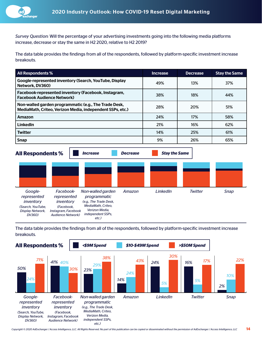

*Survey Question:* Will the percentage of your advertising investments going into the following media platforms increase, decrease or stay the same in H2 2020, relative to H2 2019?

The data table provides the findings from all of the respondents, followed by platform-specific investment increase breakouts.

| <b>All Respondents %</b>                                                                                           | <b>Increase</b> | <b>Decrease</b> | <b>Stay the Same</b> |
|--------------------------------------------------------------------------------------------------------------------|-----------------|-----------------|----------------------|
| Google-represented inventory (Search, YouTube, Display<br>Network, DV360)                                          | 49%             | 13%             | 37%                  |
| Facebook-represented inventory (Facebook, Instagram,<br><b>Facebook Audience Network)</b>                          | 38%             | 18%             | 44%                  |
| Non-walled garden programmatic (e.g., The Trade Desk,<br>MediaMath, Criteo, Verizon Media, independent SSPs, etc.) | 28%             | 20%             | 51%                  |
| Amazon                                                                                                             | 24%             | 17%             | 58%                  |
| LinkedIn                                                                                                           | 21%             | 16%             | 62%                  |
| <b>Twitter</b>                                                                                                     | 14%             | 25%             | 61%                  |
| <b>Snap</b>                                                                                                        | 9%              | 26%             | 65%                  |

**All Respondents %** *Increase Decrease Stay the Same Googlerepresented inventory (Search, YouTube, Display Network, DV360) Facebookrepresented inventory (Facebook, Instagram, Facebook Audience Network) Non-walled garden programmatic (e.g., The Trade Desk, MediaMath, Criteo, Verizon Media, independent SSPs, etc.) Amazon LinkedIn Twitter Snap*

The data table provides the findings from all of the respondents, followed by platform-specific investment increase breakouts.

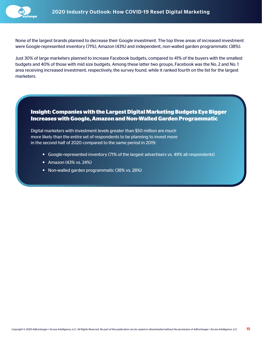None of the largest brands planned to decrease their Google investment. The top three areas of increased investment were Google-represented inventory (71%), Amazon (43%) and independent, non-walled garden programmatic (38%).

Just 30% of large marketers planned to increase Facebook budgets, compared to 41% of the buyers with the smallest budgets and 40% of those with mid size budgets. Among these latter two groups, Facebook was the No. 2 and No. 1 area receiving increased investment, respectively, the survey found, while it ranked fourth on the list for the largest marketers.

#### **Insight: Companies with the Largest Digital Marketing Budgets Eye Bigger Increases with Google, Amazon and Non-Walled Garden Programmatic**

Digital marketers with investment levels greater than \$50 million are much more likely than the entire set of respondents to be planning to invest more in the second half of 2020 compared to the same period in 2019:

- Google-represented inventory (71% of the largest advertisers vs. 49% all respondents)
- Amazon (43% vs. 24%)
- Non-walled garden programmatic (38% vs. 28%)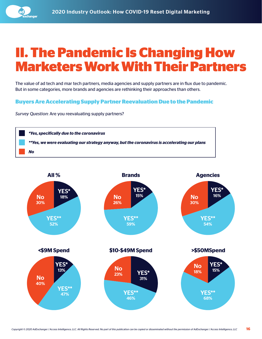<span id="page-15-0"></span>

### **II. The Pandemic Is Changing How Marketers Work With Their Partners**

The value of ad tech and mar tech partners, media agencies and supply partners are in flux due to pandemic. But in some categories, more brands and agencies are rethinking their approaches than others.

#### **Buyers Are Accelerating Supply Partner Reevaluation Due to the Pandemic**

*Survey Question:* Are you reevaluating supply partners?



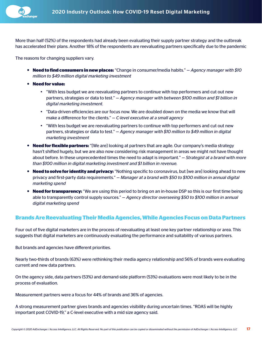More than half (52%) of the respondents had already been evaluating their supply partner strategy and the outbreak has accelerated their plans. Another 18% of the respondents are reevaluating partners specifically due to the pandemic

The reasons for changing suppliers vary.

- **Need to find consumers in new places:** "Change in consumer/media habits." *Agency manager with \$10 million to \$49 million digital marketing investment*
- **Need for value:** 
	- "With less budget we are reevaluating partners to continue with top performers and cut out new partners, strategies or data to test." — *Agency manager with between \$100 million and \$1 billion in digital marketing investment.*
	- y "Data-driven efficiencies are our focus now. We are doubled down on the media we know that will make a difference for the clients." — *C-level executive at a small agency*
	- "With less budget we are reevaluating partners to continue with top performers and cut out new partners, strategies or data to test." — *Agency manager with \$10 million to \$49 million in digital marketing investment*
- **Need for flexible partners:** "[We are] looking at partners that are agile. Our company's media strategy hasn't shifted hugely, but we are also now considering risk management in areas we might not have thought about before. In these unprecedented times the need to adapt is important." — *Strategist at a brand with more than \$100 million in digital marketing investment and \$1 billion in revenue.*
- **Need to solve for identity and privacy:** "Nothing specific to coronavirus, but [we are] looking ahead to new privacy and first-party data requirements." — *Manager at a brand with \$50 to \$100 million in annual digital marketing spend*
- **Need for transparency:** "We are using this period to bring on an in-house DSP so this is our first time being able to transparently control supply sources." — *Agency director overseeing \$50 to \$100 million in annual digital marketing spend*

#### **Brands Are Reevaluating Their Media Agencies, While Agencies Focus on Data Partners**

Four out of five digital marketers are in the process of reevaluating at least one key partner relationship or area. This suggests that digital marketers are continuously evaluating the performance and suitability of various partners.

But brands and agencies have different priorities.

Nearly two-thirds of brands (63%) were rethinking their media agency relationship and 56% of brands were evaluating current and new data partners.

On the agency side, data partners (53%) and demand-side platform (53%) evaluations were most likely to be in the process of evaluation.

Measurement partners were a focus for 44% of brands and 36% of agencies.

A strong measurement partner gives brands and agencies visibility during uncertain times. "ROAS will be highly important post COVID-19," a C-level executive with a mid size agency said.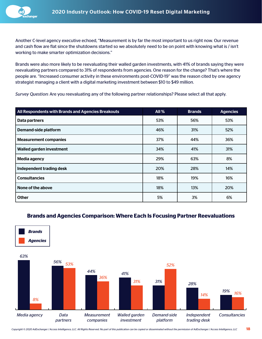

Another C-level agency executive echoed, "Measurement is by far the most important to us right now. Our revenue and cash flow are flat since the shutdowns started so we absolutely need to be on point with knowing what is / isn't working to make smarter optimization decisions."

Brands were also more likely to be reevaluating their walled garden investments, with 41% of brands saying they were reevaluating partners compared to 31% of respondents from agencies. One reason for the change? That's where the people are. "Increased consumer activity in these environments post-COVID-19" was the reason cited by one agency strategist managing a client with a digital marketing investment between \$10 to \$49 million.

*Survey Question:* Are you reevaluating any of the following partner relationships? Please select all that apply.

| All Respondents with Brands and Agencies Breakouts | <b>All %</b> | <b>Brands</b> | <b>Agencies</b> |
|----------------------------------------------------|--------------|---------------|-----------------|
| Data partners                                      | 53%          | 56%           | 53%             |
| <b>Demand-side platform</b>                        | 46%          | 31%           | 52%             |
| <b>Measurement companies</b>                       | 37%          | 44%           | 36%             |
| Walled garden investment                           | 34%          | 41%           | 31%             |
| Media agency                                       | 29%          | 63%           | 8%              |
| Independent trading desk                           | 20%          | 28%           | 14%             |
| <b>Consultancies</b>                               | 18%          | 19%           | 16%             |
| None of the above                                  | 18%          | 13%           | 20%             |
| <b>Other</b>                                       | 5%           | 3%            | 6%              |

#### **Brands and Agencies Comparison: Where Each Is Focusing Partner Reevaluations**

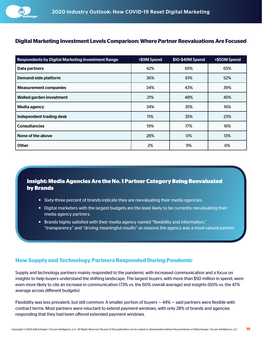

#### **Digital Marketing Investment Levels Comparison: Where Partner Reevaluations Are Focused**

| <b>Respondents by Digital Marketing Investment Range</b> | <\$9M Spend | \$10-\$49M Spend | >\$50M Spend |
|----------------------------------------------------------|-------------|------------------|--------------|
| Data partners                                            | 42%         | 65%              | 65%          |
| <b>Demand-side platform</b>                              | 36%         | 61%              | 52%          |
| <b>Measurement companies</b>                             | 34%         | 43%              | 39%          |
| Walled garden investment                                 | 21%         | 48%              | 45%          |
| Media agency                                             | 34%         | 35%              | 16%          |
| Independent trading desk                                 | 11%         | 35%              | 23%          |
| <b>Consultancies</b>                                     | 19%         | 17%              | 16%          |
| None of the above                                        | 28%         | 0%               | 13%          |
| <b>Other</b>                                             | 2%          | 9%               | 6%           |

#### **Insight: Media Agencies Are the No. 1 Partner Category Being Reevaluated by Brands**

- Sixty-three percent of brands indicate they are reevaluating their media agencies.
- Digital marketers with the largest budgets are the least likely to be currently reevaluating their media agency partners.
- **Brands highly satisfied with their media agency named "flexibility and information,"** "transparency" and "driving meaningful results" as reasons the agency was a most-valued partner.

#### **How Supply and Technology Partners Responded During Pandemic**

Supply and technology partners mainly responded to the pandemic with increased communication and a focus on insights to help buyers understand the shifting landscape. The largest buyers, with more than \$50 million in spend, were even more likely to cite an increase in communication (73% vs. the 60% overall average) and insights (60% vs. the 47% average across different budgets).

Flexibility was less prevalent, but still common: A smaller portion of buyers — 44% — said partners were flexible with contract terms. Most partners were reluctant to extend payment windows, with only 28% of brands and agencies responding that they had been offered extended payment windows.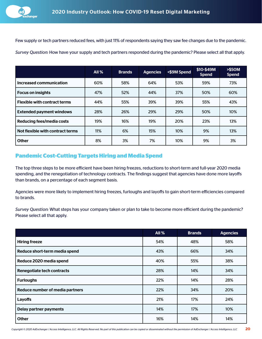Few supply or tech partners reduced fees, with just 11% of respondents saying they saw fee changes due to the pandemic. *Survey Question:* How have your supply and tech partners responded during the pandemic? Please select all that apply.

|                                     | All $%$ | <b>Brands</b> | <b>Agencies</b> | <\$9M Spend | \$10-\$49M<br><b>Spend</b> | <b>&gt;\$50M</b><br><b>Spend</b> |
|-------------------------------------|---------|---------------|-----------------|-------------|----------------------------|----------------------------------|
| Increased communication             | 60%     | 58%           | 64%             | 53%         | 59%                        | 73%                              |
| <b>Focus on insights</b>            | 47%     | 52%           | 44%             | 37%         | 50%                        | 60%                              |
| <b>Flexible with contract terms</b> | 44%     | 55%           | 39%             | 39%         | 55%                        | 43%                              |
| <b>Extended payment windows</b>     | 28%     | 26%           | 29%             | 29%         | 50%                        | 10%                              |
| Reducing fees/media costs           | 19%     | 16%           | 19%             | 20%         | 23%                        | 13%                              |
| Not flexible with contract terms    | 11%     | 6%            | 15%             | 10%         | 9%                         | 13%                              |
| <b>Other</b>                        | 8%      | 3%            | 7%              | 10%         | 9%                         | 3%                               |

#### **Pandemic Cost-Cutting Targets Hiring and Media Spend**

The top three steps to be more efficient have been hiring freezes, reductions to short-term and full-year 2020 media spending, and the renegotiation of technology contracts. The findings suggest that agencies have done more layoffs than brands, on a percentage of each segment basis.

Agencies were more likely to implement hiring freezes, furloughs and layoffs to gain short-term efficiencies compared to brands.

*Survey Question:* What steps has your company taken or plan to take to become more efficient during the pandemic? Please select all that apply.

|                                 | <b>All %</b> | <b>Brands</b> | <b>Agencies</b> |
|---------------------------------|--------------|---------------|-----------------|
| <b>Hiring freeze</b>            | 54%          | 48%           | 58%             |
| Reduce short-term media spend   | 43%          | 66%           | 34%             |
| Reduce 2020 media spend         | 40%          | 55%           | 38%             |
| Renegotiate tech contracts      | 28%          | 14%           | 34%             |
| <b>Furloughs</b>                | 22%          | 14%           | 28%             |
| Reduce number of media partners | 22%          | 34%           | 20%             |
| Layoffs                         | 21%          | 17%           | 24%             |
| <b>Delay partner payments</b>   | 14%          | 17%           | 10%             |
| <b>Other</b>                    | 16%          | 14%           | 14%             |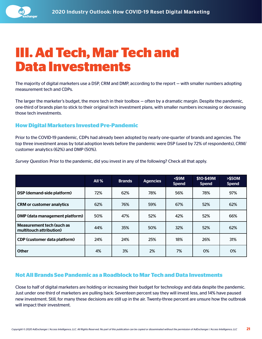<span id="page-20-0"></span>

### **III. Ad Tech, Mar Tech and Data Investments**

The majority of digital marketers use a DSP, CRM and DMP, according to the report — with smaller numbers adopting measurement tech and CDPs.

The larger the marketer's budget, the more tech in their toolbox — often by a dramatic margin. Despite the pandemic, one-third of brands plan to stick to their original tech investment plans, with smaller numbers increasing or decreasing those tech investments.

#### **How Digital Marketers Invested Pre-Pandemic**

Prior to the COVID-19 pandemic, CDPs had already been adopted by nearly one-quarter of brands and agencies. The top three investment areas by total adoption levels before the pandemic were DSP (used by 72% of respondents), CRM/ customer analytics (62%) and DMP (50%).

|                                                      | All $%$ | <b>Brands</b> | <b>Agencies</b> | $<$ \$9M<br><b>Spend</b> | \$10-\$49M<br><b>Spend</b> | <b>&gt;\$50M</b><br><b>Spend</b> |
|------------------------------------------------------|---------|---------------|-----------------|--------------------------|----------------------------|----------------------------------|
| DSP (demand-side platform)                           | 72%     | 62%           | 78%             | 56%                      | 78%                        | 97%                              |
| <b>CRM or customer analytics</b>                     | 62%     | 76%           | 59%             | 67%                      | 52%                        | 62%                              |
| DMP (data management platform)                       | 50%     | 47%           | 52%             | 42%                      | 52%                        | 66%                              |
| Measurement tech (such as<br>multitouch attribution) | 44%     | 35%           | 50%             | 32%                      | 52%                        | 62%                              |
| <b>CDP (customer data platform)</b>                  | 24%     | 24%           | 25%             | 18%                      | 26%                        | 31%                              |
| <b>Other</b>                                         | 4%      | 3%            | 2%              | 7%                       | 0%                         | 0%                               |

*Survey Question:* Prior to the pandemic, did you invest in any of the following? Check all that apply.

#### **Not All Brands See Pandemic as a Roadblock to Mar Tech and Data Investments**

Close to half of digital marketers are holding or increasing their budget for technology and data despite the pandemic. Just under one-third of marketers are pulling back: Seventeen percent say they will invest less, and 14% have paused new investment. Still, for many these decisions are still up in the air. Twenty-three percent are unsure how the outbreak will impact their investment.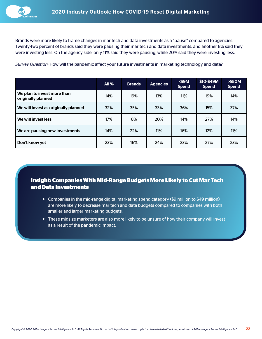Brands were more likely to frame changes in mar tech and data investments as a "pause" compared to agencies. Twenty-two percent of brands said they were pausing their mar tech and data investments, and another 8% said they were investing less. On the agency side, only 11% said they were pausing, while 20% said they were investing less.

*Survey Question:* How will the pandemic affect your future investments in marketing technology and data?

|                                                   | All% | <b>Brands</b> | <b>Agencies</b> | $<$ \$9M<br><b>Spend</b> | \$10-\$49M<br><b>Spend</b> | > \$50M<br><b>Spend</b> |
|---------------------------------------------------|------|---------------|-----------------|--------------------------|----------------------------|-------------------------|
| We plan to invest more than<br>originally planned | 14%  | 19%           | 13%             | 11%                      | 19%                        | 14%                     |
| We will invest as originally planned              | 32%  | 35%           | 33%             | 36%                      | 15%                        | 37%                     |
| We will invest less                               | 17%  | 8%            | 20%             | 14%                      | 27%                        | 14%                     |
| We are pausing new investments                    | 14%  | 22%           | 11%             | 16%                      | 12%                        | 11%                     |
| Don't know yet                                    | 23%  | 16%           | 24%             | 23%                      | 27%                        | 23%                     |

**Insight: Companies With Mid-Range Budgets More Likely to Cut Mar Tech and Data Investments**

- Companies in the mid-range digital marketing spend category (\$9 million to \$49 million) are more likely to decrease mar tech and data budgets compared to companies with both smaller and larger marketing budgets.
- These midsize marketers are also more likely to be unsure of how their company will invest as a result of the pandemic impact.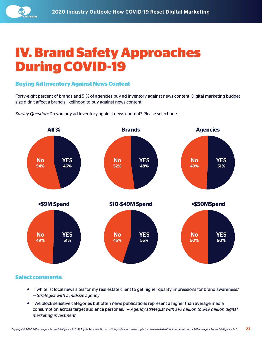<span id="page-22-0"></span>

### **IV. Brand Safety Approaches During COVID-19**

#### **Buying Ad Inventory Against News Content**

Forty-eight percent of brands and 51% of agencies buy ad inventory against news content. Digital marketing budget size didn't affect a brand's likelihood to buy against news content.

*Survey Question:* Do you buy ad inventory against news content? Please select one.



#### **Select comments:**

- "I whitelist local news sites for my real estate client to get higher quality impressions for brand awareness." — *Strategist with a midsize agency*
- "We block sensitive categories but often news publications represent a higher than average media consumption across target audience personas." — *Agency strategist with \$10 million to \$49 million digital marketing investment*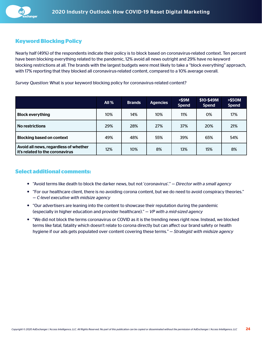

#### **Keyword Blocking Policy**

Nearly half (49%) of the respondents indicate their policy is to block based on coronavirus-related context. Ten percent have been blocking everything related to the pandemic, 12% avoid all news outright and 29% have no keyword blocking restrictions at all. The brands with the largest budgets were most likely to take a "block everything" approach, with 17% reporting that they blocked all coronavirus-related content, compared to a 10% average overall.

*Survey Question:* What is your keyword blocking policy for coronavirus-related content?

|                                                                          | <b>All %</b> | <b>Brands</b> | <b>Agencies</b> | $<$ \$9M<br><b>Spend</b> | \$10-\$49M<br><b>Spend</b> | <b>&gt;\$50M</b><br><b>Spend</b> |
|--------------------------------------------------------------------------|--------------|---------------|-----------------|--------------------------|----------------------------|----------------------------------|
| <b>Block everything</b>                                                  | 10%          | 14%           | 10%             | 11%                      | 0%                         | 17%                              |
| <b>No restrictions</b>                                                   | 29%          | 28%           | 27%             | 37%                      | 20%                        | 21%                              |
| <b>Blocking based on context</b>                                         | 49%          | 48%           | 55%             | 39%                      | 65%                        | 54%                              |
| Avoid all news, regardless of whether<br>it's related to the coronavirus | 12%          | 10%           | 8%              | 13%                      | 15%                        | 8%                               |

#### **Select additional comments:**

- "Avoid terms like death to block the darker news, but not 'coronavirus'." *Director with a small agency*
- "For our healthcare client, there is no avoiding corona content, but we do need to avoid conspiracy theories." — *C-level executive with midsize agency*
- "Our advertisers are leaning into the content to showcase their reputation during the pandemic (especially in higher education and provider healthcare)." — *VP with a mid-sized agency*
- "We did not block the terms coronavirus or COVID as it is the trending news right now. Instead, we blocked terms like fatal, fatality which doesn't relate to corona directly but can affect our brand safety or health hygiene if our ads gets populated over content covering these terms." — *Strategist with midsize agency*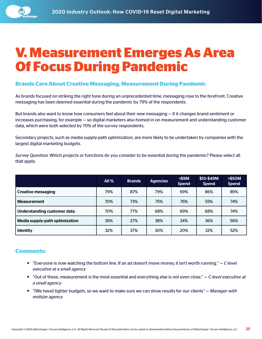<span id="page-24-0"></span>

### **V. Measurement Emerges As Area Of Focus During Pandemic**

#### **Brands Care About Creative Messaging, Measurement During Pandemic**

As brands focused on striking the right tone during an unprecedented time, messaging rose to the forefront. Creative messaging has been deemed essential during the pandemic by 79% of the respondents.

But brands also want to know how consumers feel about their new messaging — if it changes brand sentiment or increases purchasing, for example — so digital marketers also homed in on measurement and understanding customer data, which were both selected by 70% of the survey respondents.

Secondary projects, such as media supply-path optimization, are more likely to be undertaken by companies with the largest digital marketing budgets.

*Survey Question:* Which projects or functions do you consider to be essential during the pandemic? Please select all that apply.

|                                | All $%$ | <b>Brands</b> | <b>Agencies</b> | $<$ \$9M<br><b>Spend</b> | \$10-\$49M<br><b>Spend</b> | > \$50M<br><b>Spend</b> |
|--------------------------------|---------|---------------|-----------------|--------------------------|----------------------------|-------------------------|
| <b>Creative messaging</b>      | 79%     | 87%           | 79%             | 69%                      | 86%                        | 89%                     |
| <b>Measurement</b>             | 70%     | 73%           | 75%             | 76%                      | 55%                        | 74%                     |
| Understanding customer data    | 70%     | 77%           | 68%             | 69%                      | 68%                        | 74%                     |
| Media supply-path optimization | 36%     | 27%           | 38%             | 24%                      | 36%                        | 56%                     |
| <b>Identity</b>                | 32%     | 37%           | 30%             | 20%                      | 32%                        | 52%                     |

#### **Comments:**

- "Everyone is now watching the bottom line. If an ad doesn't move money, it isn't worth running." *C-level executive at a small agency*
- "Out of these, measurement is the most essential and everything else is not even close." *C-level executive at a small agency*
- "[We have] tighter budgets, so we want to make sure we can show results for our clients" *Manager with midsize agency*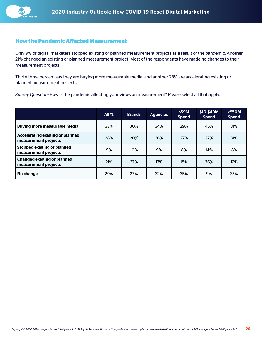#### **How the Pandemic Affected Measurement**

Only 9% of digital marketers stopped existing or planned measurement projects as a result of the pandemic. Another 21% changed an existing or planned measurement project. Most of the respondents have made no changes to their measurement projects.

Thirty-three percent say they are buying more measurable media, and another 28% are accelerating existing or planned measurement projects.

*Survey Question:* How is the pandemic affecting your views on measurement? Please select all that apply.

|                                                            | All $%$ | <b>Brands</b> | <b>Agencies</b> | $<$ \$9M<br><b>Spend</b> | \$10-\$49M<br><b>Spend</b> | > \$50M<br><b>Spend</b> |
|------------------------------------------------------------|---------|---------------|-----------------|--------------------------|----------------------------|-------------------------|
| Buying more measurable media                               | 33%     | 30%           | 34%             | 29%                      | 45%                        | 31%                     |
| Accelerating existing or planned<br>measurement projects   | 28%     | 20%           | 36%             | 27%                      | 27%                        | 31%                     |
| <b>Stopped existing or planned</b><br>measurement projects | 9%      | 10%           | 9%              | 8%                       | 14%                        | 8%                      |
| <b>Changed existing or planned</b><br>measurement projects | 21%     | 27%           | 13%             | 18%                      | 36%                        | 12%                     |
| No change                                                  | 29%     | 27%           | 32%             | 35%                      | 9%                         | 35%                     |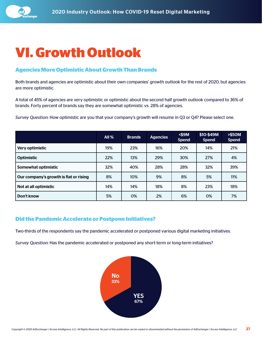<span id="page-26-0"></span>

### **VI. Growth Outlook**

#### **Agencies More Optimistic About Growth Than Brands**

Both brands and agencies are optimistic about their own companies' growth outlook for the rest of 2020, but agencies are more optimistic.

A total of 45% of agencies are very optimistic or optimistic about the second half growth outlook compared to 36% of brands. Forty percent of brands say they are somewhat optimistic vs. 28% of agencies.

*Survey Question:* How optimistic are you that your company's growth will resume in Q3 or Q4? Please select one.

|                                        | All $%$ | <b>Brands</b> | <b>Agencies</b> | $<$ \$9M<br><b>Spend</b> | \$10-\$49M<br><b>Spend</b> | <b>&gt;\$50M</b><br><b>Spend</b> |
|----------------------------------------|---------|---------------|-----------------|--------------------------|----------------------------|----------------------------------|
| Very optimistic                        | 19%     | 23%           | 16%             | 20%                      | 14%                        | 21%                              |
| <b>Optimistic</b>                      | 22%     | 13%           | 29%             | 30%                      | 27%                        | 4%                               |
| Somewhat optimistic                    | 32%     | 40%           | 28%             | 28%                      | 32%                        | 39%                              |
| Our company's growth is flat or rising | 8%      | 10%           | 9%              | 8%                       | 5%                         | 11%                              |
| Not at all optimistic                  | 14%     | 14%           | 18%             | 8%                       | 23%                        | 18%                              |
| Don't know                             | 5%      | 0%            | 2%              | 6%                       | 0%                         | 7%                               |

#### **Did the Pandemic Accelerate or Postpone Initiatives?**

Two-thirds of the respondents say the pandemic accelerated or postponed various digital marketing initiatives.

*Survey Question:* Has the pandemic accelerated or postponed any short-term or long-term initiatives?

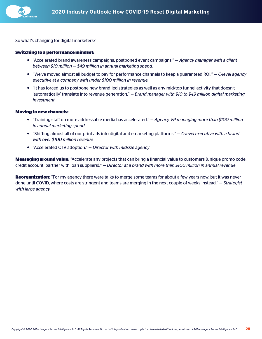

So what's changing for digital marketers?

#### **Switching to a performance mindset:**

- "Accelerated brand awareness campaigns, postponed event campaigns."  *Agency manager with a client between \$10 million — \$49 million in annual marketing spend.*
- "We've moved almost all budget to pay for performance channels to keep a guaranteed ROI." *C-level agency executive at a company with under \$100 million in revenue.*
- "It has forced us to postpone new brand-led strategies as well as any mid/top funnel activity that doesn't 'automatically' translate into revenue generation." — *Brand manager with \$10 to \$49 million digital marketing investment*

#### **Moving to new channels:**

- "Training staff on more addressable media has accelerated." *Agency VP managing more than \$100 million in annual marketing spend*
- "Shifting almost all of our print ads into digital and emarketing platforms." *C-level executive with a brand with over \$100 million revenue*
- "Accelerated CTV adoption." *Director with midsize agency*

**Messaging around value:** "Accelerate any projects that can bring a financial value to customers (unique promo code, credit account, partner with loan suppliers)." — *Director at a brand with more than \$100 million in annual revenue*

**Reorganization:** "For my agency there were talks to merge some teams for about a few years now, but it was never done until COVID, where costs are stringent and teams are merging in the next couple of weeks instead." — *Strategist with large agency*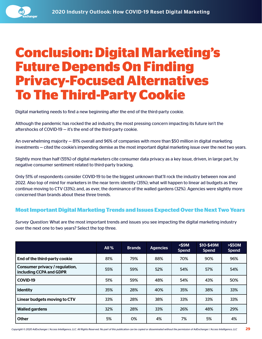<span id="page-28-0"></span>

### **Conclusion: Digital Marketing's Future Depends On Finding Privacy-Focused Alternatives To The Third-Party Cookie**

Digital marketing needs to find a new beginning after the end of the third-party cookie.

Although the pandemic has rocked the ad industry, the most pressing concern impacting its future isn't the aftershocks of COVID-19 — it's the end of the third-party cookie.

An overwhelming majority — 81% overall and 96% of companies with more than \$50 million in digital marketing investments — cited the cookie's impending demise as the most important digital marketing issue over the next two years.

Slightly more than half (55%) of digital marketers cite consumer data privacy as a key issue, driven, in large part, by negative consumer sentiment related to third-party tracking.

Only 51% of respondents consider COVID-19 to be the biggest unknown that'll rock the industry between now and 2022. Also top of mind for marketers in the near term: identity (35%); what will happen to linear ad budgets as they continue moving to CTV (33%); and, as ever, the dominance of the walled gardens (32%). Agencies were slightly more concerned than brands about these three trends.

#### **Most Important Digital Marketing Trends and Issues Expected Over the Next Two Years**

*Survey Question:* What are the most important trends and issues you see impacting the digital marketing industry over the next one to two years? Select the top three.

|                                                           | <b>All %</b> | <b>Brands</b> | <b>Agencies</b> | $<$ \$9M<br><b>Spend</b> | \$10-\$49M<br><b>Spend</b> | <b>&gt;\$50M</b><br><b>Spend</b> |
|-----------------------------------------------------------|--------------|---------------|-----------------|--------------------------|----------------------------|----------------------------------|
| End of the third-party cookie                             | 81%          | 79%           | 88%             | 70%                      | 90%                        | 96%                              |
| Consumer privacy / regulation,<br>including CCPA and GDPR | 55%          | 59%           | 52%             | 54%                      | 57%                        | 54%                              |
| <b>COVID-19</b>                                           | 51%          | 59%           | 48%             | 54%                      | 43%                        | 50%                              |
| <b>Identity</b>                                           | 35%          | 28%           | 40%             | 35%                      | 38%                        | 33%                              |
| Linear budgets moving to CTV                              | 33%          | 28%           | 38%             | 33%                      | 33%                        | 33%                              |
| <b>Walled gardens</b>                                     | 32%          | 28%           | 33%             | 26%                      | 48%                        | 29%                              |
| <b>Other</b>                                              | 5%           | 0%            | 4%              | 7%                       | 5%                         | 4%                               |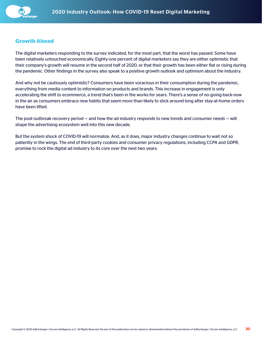

#### **Growth Ahead**

The digital marketers responding to the survey indicated, for the most part, that the worst has passed. Some have been relatively untouched economically. Eighty-one percent of digital marketers say they are either optimistic that their company's growth will resume in the second half of 2020, or that their growth has been either flat or rising during the pandemic. Other findings in the survey also speak to a positive growth outlook and optimism about the industry.

And why not be cautiously optimistic? Consumers have been voracious in their consumption during the pandemic, everything from media content to information on products and brands. This increase in engagement is only accelerating the shift to ecommerce, a trend that's been in the works for years. There's a sense of no-going-back-now in the air as consumers embrace new habits that seem more than likely to stick around long after stay-at-home orders have been lifted.

The post-outbreak recovery period — and how the ad industry responds to new trends and consumer needs — will shape the advertising ecosystem well into this new decade.

But the system shock of COVID-19 will normalize. And, as it does, major industry changes continue to wait not so patiently in the wings. The end of third-party cookies and consumer privacy regulations, including CCPA and GDPR, promise to rock the digital ad industry to its core over the next two years.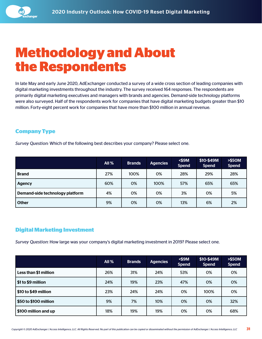<span id="page-30-0"></span>

### **Methodology and About the Respondents**

In late May and early June 2020, AdExchanger conducted a survey of a wide cross section of leading companies with digital marketing investments throughout the industry. The survey received 164 responses. The respondents are primarily digital marketing executives and managers with brands and agencies. Demand-side technology platforms were also surveyed. Half of the respondents work for companies that have digital marketing budgets greater than \$10 million. Forty-eight percent work for companies that have more than \$100 million in annual revenue.

#### **Company Type**

*Survey Question:* Which of the following best describes your company? Please select one.

|                                 | <b>All %</b> | <b>Brands</b> | <b>Agencies</b> | $<$ \$9M<br><b>Spend</b> | \$10-\$49M<br><b>Spend</b> | <b>&gt;\$50M</b><br><b>Spend</b> |
|---------------------------------|--------------|---------------|-----------------|--------------------------|----------------------------|----------------------------------|
| <b>Brand</b>                    | 27%          | 100%          | 0%              | 28%                      | 29%                        | 28%                              |
| <b>Agency</b>                   | 60%          | 0%            | 100%            | 57%                      | 65%                        | 65%                              |
| Demand-side technology platform | 4%           | 0%            | 0%              | 3%                       | 0%                         | 5%                               |
| <b>Other</b>                    | 9%           | 0%            | 0%              | 13%                      | 6%                         | 2%                               |

#### **Digital Marketing Investment**

*Survey Question:* How large was your company's digital marketing investment in 2019? Please select one.

|                       | All $%$ | <b>Brands</b> | Agencies | $<$ \$9M<br><b>Spend</b> | \$10-\$49M<br><b>Spend</b> | <b>&gt;\$50M</b><br><b>Spend</b> |
|-----------------------|---------|---------------|----------|--------------------------|----------------------------|----------------------------------|
| Less than \$1 million | 26%     | 31%           | 24%      | 53%                      | 0%                         | 0%                               |
| \$1 to \$9 million    | 24%     | 19%           | 23%      | 47%                      | 0%                         | 0%                               |
| \$10 to \$49 million  | 23%     | 24%           | 24%      | 0%                       | 100%                       | 0%                               |
| \$50 to \$100 million | 9%      | 7%            | 10%      | 0%                       | 0%                         | 32%                              |
| \$100 million and up  | 18%     | 19%           | 19%      | 0%                       | 0%                         | 68%                              |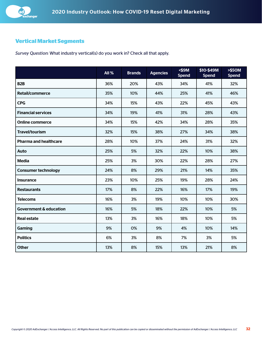

#### **Vertical Market Segments**

*Survey Question:* What industry vertical(s) do you work in? Check all that apply.

|                                   | All% | <b>Brands</b> | <b>Agencies</b> | $<$ \$9M<br><b>Spend</b> | \$10-\$49M<br><b>Spend</b> | > \$50M<br><b>Spend</b> |
|-----------------------------------|------|---------------|-----------------|--------------------------|----------------------------|-------------------------|
| B <sub>2</sub> B                  | 36%  | 20%           | 43%             | 34%                      | 41%                        | 32%                     |
| <b>Retail/commerce</b>            | 35%  | 10%           | 44%             | 25%                      | 41%                        | 46%                     |
| <b>CPG</b>                        | 34%  | 15%           | 43%             | 22%                      | 45%                        | 43%                     |
| <b>Financial services</b>         | 34%  | 19%           | 41%             | 31%                      | 28%                        | 43%                     |
| <b>Online commerce</b>            | 34%  | 15%           | 42%             | 34%                      | 28%                        | 35%                     |
| <b>Travel/tourism</b>             | 32%  | 15%           | 38%             | 27%                      | 34%                        | 38%                     |
| <b>Pharma and healthcare</b>      | 28%  | 10%           | 37%             | 24%                      | 31%                        | 32%                     |
| Auto                              | 25%  | 5%            | 32%             | 22%                      | 10%                        | 38%                     |
| <b>Media</b>                      | 25%  | 3%            | 30%             | 22%                      | 28%                        | 27%                     |
| <b>Consumer technology</b>        | 24%  | 8%            | 29%             | 21%                      | 14%                        | 35%                     |
| <b>Insurance</b>                  | 23%  | 10%           | 25%             | 19%                      | 28%                        | 24%                     |
| <b>Restaurants</b>                | 17%  | 8%            | 22%             | 16%                      | 17%                        | 19%                     |
| <b>Telecoms</b>                   | 16%  | 3%            | 19%             | 10%                      | 10%                        | 30%                     |
| <b>Government &amp; education</b> | 16%  | 5%            | 18%             | 22%                      | 10%                        | 5%                      |
| <b>Real estate</b>                | 13%  | 3%            | 16%             | 18%                      | 10%                        | 5%                      |
| Gaming                            | 9%   | 0%            | 9%              | 4%                       | 10%                        | 14%                     |
| <b>Politics</b>                   | 6%   | 3%            | 8%              | 7%                       | 3%                         | 5%                      |
| <b>Other</b>                      | 13%  | 8%            | 15%             | 13%                      | 21%                        | 8%                      |